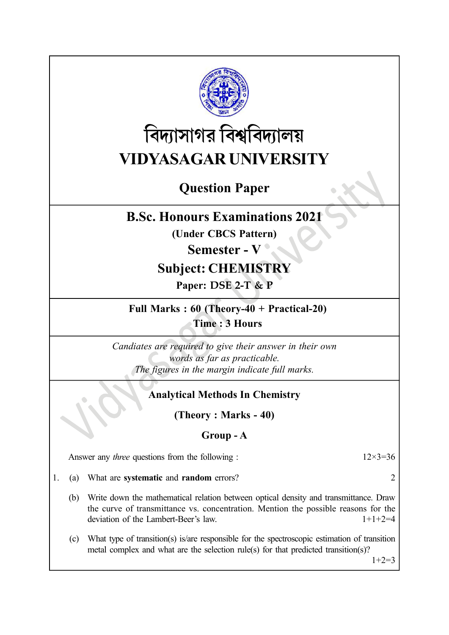

# বিদ্যাসাগর বিশ্ববিদ্যালয় VIDYASAGAR UNIVERSITY

## Question Paper

## B.Sc. Honours Examinations 2021

(Under CBCS Pattern)

## Semester - V

## Subject: CHEMISTRY

Paper: DSE 2-T & P

Full Marks :  $60$  (Theory- $\overline{40}$  + Practical-20) Time : 3 Hours

Candiates are required to give their answer in their own words as far as practicable. The figures in the margin indicate full marks.

## Analytical Methods In Chemistry

(Theory : Marks - 40)

## Group - A

Answer any *three* questions from the following :  $12 \times 3 = 36$ 

- 1. (a) What are systematic and random errors? 2
	- (b) Write down the mathematical relation between optical density and transmittance. Draw the curve of transmittance vs. concentration. Mention the possible reasons for the deviation of the Lambert-Beer's law.  $1+1+2=4$
	- (c) What type of transition(s) is/are responsible for the spectroscopic estimation of transition metal complex and what are the selection rule(s) for that predicted transition(s)?

 $1+2=3$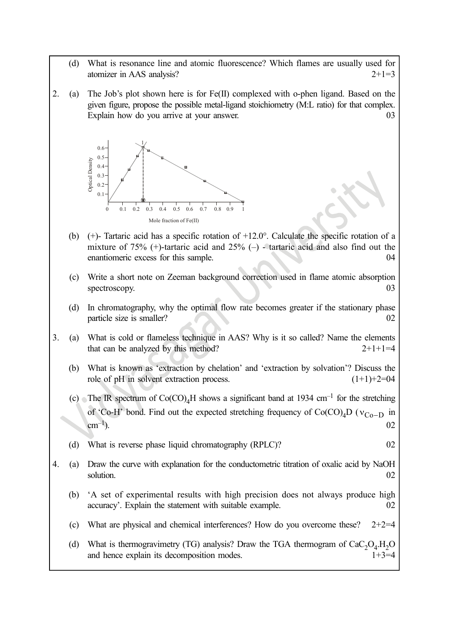- (d) What is resonance line and atomic fluorescence? Which flames are usually used for atomizer in AAS analysis? 2+1=3
- 2. (a) The Job's plot shown here is for Fe(II) complexed with o-phen ligand. Based on the given figure, propose the possible metal-ligand stoichiometry (M:L ratio) for that complex. Explain how do you arrive at your answer. 03



- (b) (+)- Tartaric acid has a specific rotation of +12.0°. Calculate the specific rotation of a mixture of 75% (+)-tartaric acid and 25% (–) - tartaric acid and also find out the enantiomeric excess for this sample. 04
- (c) Write a short note on Zeeman background correction used in flame atomic absorption spectroscopy. 03
- (d) In chromatography, why the optimal flow rate becomes greater if the stationary phase particle size is smaller? 02
- 3. (a) What is cold or flameless technique in AAS? Why is it so called? Name the elements that can be analyzed by this method?  $2+1+1=4$ 
	- (b) What is known as 'extraction by chelation' and 'extraction by solvation'? Discuss the role of pH in solvent extraction process.  $(1+1)+2=04$
	- (c) The IR spectrum of  $Co(CO)_{4}H$  shows a significant band at 1934 cm<sup>-1</sup> for the stretching of 'Co-H' bond. Find out the expected stretching frequency of  $Co(CO)_{4}D$  ( $v_{Co-D}$  in  $cm^{-1}$ ). 02
	- (d) What is reverse phase liquid chromatography (RPLC)? 02
- 4. (a) Draw the curve with explanation for the conductometric titration of oxalic acid by NaOH solution. 02
	- (b) 'A set of experimental results with high precision does not always produce high accuracy'. Explain the statement with suitable example. 02
	- (c) What are physical and chemical interferences? How do you overcome these?  $2+2=4$
	- (d) What is thermogravimetry (TG) analysis? Draw the TGA thermogram of  $CaC_2O_4.H_2O$ and hence explain its decomposition modes.  $1+3=4$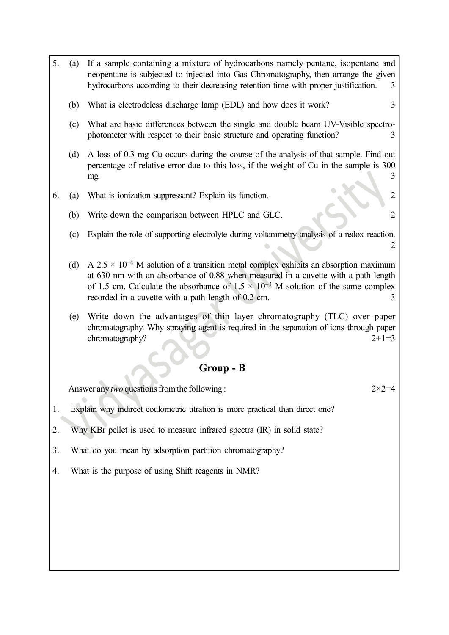5. (a) If a sample containing a mixture of hydrocarbons namely pentane, isopentane and neopentane is subjected to injected into Gas Chromatography, then arrange the given hydrocarbons according to their decreasing retention time with proper justification. 3 (b) What is electrodeless discharge lamp (EDL) and how does it work? 3 (c) What are basic differences between the single and double beam UV-Visible spectrophotometer with respect to their basic structure and operating function? 3 (d) A loss of 0.3 mg Cu occurs during the course of the analysis of that sample. Find out percentage of relative error due to this loss, if the weight of Cu in the sample is 300 mg. 3 6. (a) What is ionization suppressant? Explain its function. 2 (b) Write down the comparison between HPLC and GLC. 2 (c) Explain the role of supporting electrolyte during voltammetry analysis of a redox reaction. 2 (d) A 2.5  $\times$  10<sup>-4</sup> M solution of a transition metal complex exhibits an absorption maximum at 630 nm with an absorbance of 0.88 when measured in a cuvette with a path length of 1.5 cm. Calculate the absorbance of  $1.5 \times 10^{-3}$  M solution of the same complex recorded in a cuvette with a path length of 0.2 cm. (e) Write down the advantages of thin layer chromatography (TLC) over paper chromatography. Why spraying agent is required in the separation of ions through paper

### Group - B

chromatography? 2+1=3

Answer any two questions from the following :  $2 \times 2 = 4$ 

1. Explain why indirect coulometric titration is more practical than direct one?

- 2. Why KBr pellet is used to measure infrared spectra (IR) in solid state?
- 3. What do you mean by adsorption partition chromatography?
- 4. What is the purpose of using Shift reagents in NMR?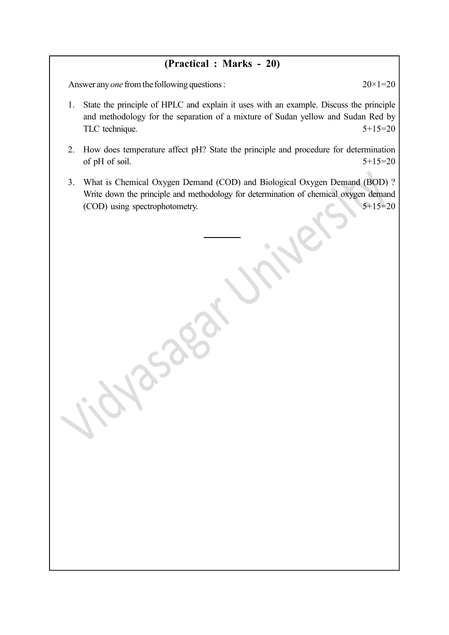## (Practical : Marks - 20)

Answer any *one* from the following questions : 20×1=20

- 
- 1. State the principle of HPLC and explain it uses with an example. Discuss the principle and methodology for the separation of a mixture of Sudan yellow and Sudan Red by TLC technique. 5+15=20
- 2. How does temperature affect pH? State the principle and procedure for determination of pH of soil.  $5+15=20$
- 3. What is Chemical Oxygen Demand (COD) and Biological Oxygen Demand (BOD) ? Write down the principle and methodology for determination of chemical oxygen demand (COD) using spectrophotometry. 5+15=20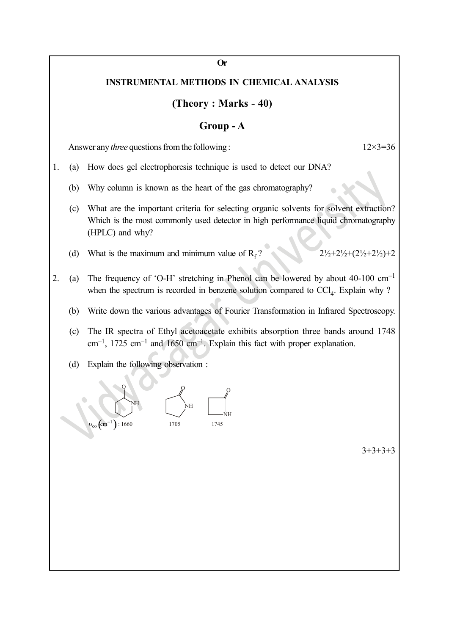#### Or

#### INSTRUMENTAL METHODS IN CHEMICAL ANALYSIS

#### (Theory : Marks - 40)

#### Group - A

Answer any *three* questions from the following :  $12 \times 3 = 36$ 

- 1. (a) How does gel electrophoresis technique is used to detect our DNA?
	- (b) Why column is known as the heart of the gas chromatography?
	- (c) What are the important criteria for selecting organic solvents for solvent extraction? Which is the most commonly used detector in high performance liquid chromatography (HPLC) and why?
	- (d) What is the maximum and minimum value of  $R_f$ ?<br>2<sup>1</sup>/<sub>2</sub>+2<sup>1</sup>/<sub>2</sub>+(2<sup>1</sup>/<sub>2</sub>+2<sup>1</sup>/<sub>2</sub>+(2<sup>1</sup>/<sub>2</sub>+2<sup>1</sup>/<sub>2</sub>)+2
		-
- 2. (a) The frequency of 'O-H' stretching in Phenol can be lowered by about 40-100 cm–1 when the spectrum is recorded in benzene solution compared to  $\text{CCl}_4$ . Explain why?
	- (b) Write down the various advantages of Fourier Transformation in Infrared Spectroscopy.
	- (c) The IR spectra of Ethyl acetoacetate exhibits absorption three bands around 1748  $cm^{-1}$ , 1725  $cm^{-1}$  and 1650  $cm^{-1}$ . Explain this fact with proper explanation.
	- (d) Explain the following observation :



 $3+3+3+3$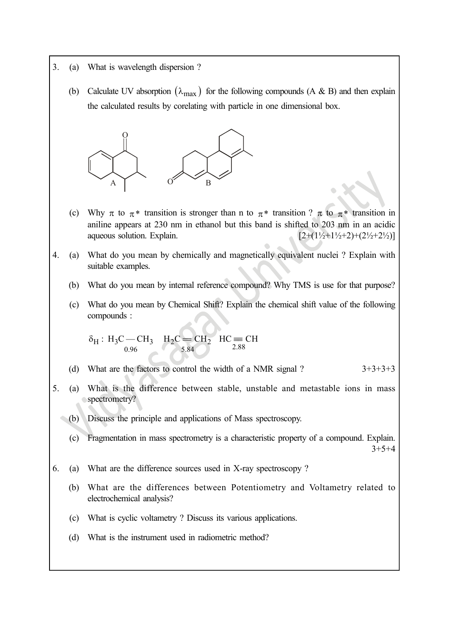- 3. (a) What is wavelength dispersion ?
	- (b) Calculate UV absorption  $(\lambda_{\text{max}})$  for the following compounds (A & B) and then explain the calculated results by corelating with particle in one dimensional box.



- (c) Why  $\pi$  to  $\pi^*$  transition is stronger than n to  $\pi^*$  transition ?  $\pi$  to  $\pi^*$  transition in aniline appears at 230 nm in ethanol but this band is shifted to 203 nm in an acidic aqueous solution. Explain.  $[2+(1\frac{1}{2}+1\frac{1}{2}+2)+(2\frac{1}{2}+2\frac{1}{2})]$
- 4. (a) What do you mean by chemically and magnetically equivalent nuclei ? Explain with suitable examples.
	- (b) What do you mean by internal reference compound? Why TMS is use for that purpose?
	- (c) What do you mean by Chemical Shift? Explain the chemical shift value of the following compounds :

$$
\delta_{\mathrm{H}}:\,\mathrm{H}_{3}\mathrm{C-CH}_{3}\quad \mathrm{H}_{2}\mathrm{C=CH}_{2}\quad \mathrm{HC}\underset{2.88}{\equiv}\mathrm{CH}%
$$

- (d) What are the factors to control the width of a NMR signal ?  $3+3+3+3+3$
- 5. (a) What is the difference between stable, unstable and metastable ions in mass spectrometry?
	- (b) Discuss the principle and applications of Mass spectroscopy.
	- (c) Fragmentation in mass spectrometry is a characteristic property of a compound. Explain.  $3+5+4$
- 6. (a) What are the difference sources used in X-ray spectroscopy ?
	- (b) What are the differences between Potentiometry and Voltametry related to electrochemical analysis?
	- (c) What is cyclic voltametry ? Discuss its various applications.
	- (d) What is the instrument used in radiometric method?